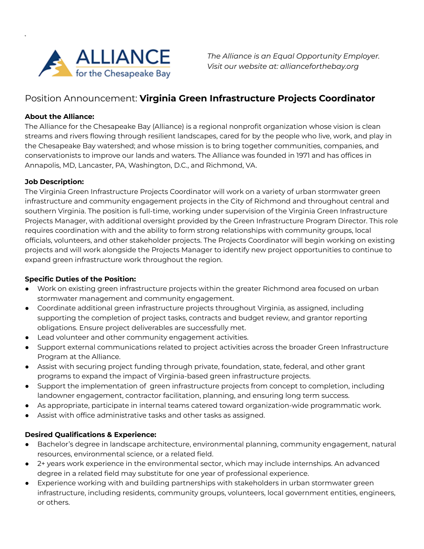

*The Alliance is an Equal Opportunity Employer. Visit our website at: allianceforthebay.org*

# Position Announcement: **Virginia Green Infrastructure Projects Coordinator**

## **About the Alliance:**

**b**

The Alliance for the Chesapeake Bay (Alliance) is a regional nonprofit organization whose vision is clean streams and rivers flowing through resilient landscapes, cared for by the people who live, work, and play in the Chesapeake Bay watershed; and whose mission is to bring together communities, companies, and conservationists to improve our lands and waters. The Alliance was founded in 1971 and has offices in Annapolis, MD, Lancaster, PA, Washington, D.C., and Richmond, VA.

### **Job Description:**

The Virginia Green Infrastructure Projects Coordinator will work on a variety of urban stormwater green infrastructure and community engagement projects in the City of Richmond and throughout central and southern Virginia. The position is full-time, working under supervision of the Virginia Green Infrastructure Projects Manager, with additional oversight provided by the Green Infrastructure Program Director. This role requires coordination with and the ability to form strong relationships with community groups, local officials, volunteers, and other stakeholder projects. The Projects Coordinator will begin working on existing projects and will work alongside the Projects Manager to identify new project opportunities to continue to expand green infrastructure work throughout the region.

### **Specific Duties of the Position:**

- Work on existing green infrastructure projects within the greater Richmond area focused on urban stormwater management and community engagement.
- Coordinate additional green infrastructure projects throughout Virginia, as assigned, including supporting the completion of project tasks, contracts and budget review, and grantor reporting obligations. Ensure project deliverables are successfully met.
- Lead volunteer and other community engagement activities.
- Support external communications related to project activities across the broader Green Infrastructure Program at the Alliance.
- Assist with securing project funding through private, foundation, state, federal, and other grant programs to expand the impact of Virginia-based green infrastructure projects.
- Support the implementation of green infrastructure projects from concept to completion, including landowner engagement, contractor facilitation, planning, and ensuring long term success.
- As appropriate, participate in internal teams catered toward organization-wide programmatic work.
- Assist with office administrative tasks and other tasks as assigned.

### **Desired Qualifications & Experience:**

- Bachelor's degree in landscape architecture, environmental planning, community engagement, natural resources, environmental science, or a related field.
- 2+ years work experience in the environmental sector, which may include internships. An advanced degree in a related field may substitute for one year of professional experience.
- Experience working with and building partnerships with stakeholders in urban stormwater green infrastructure, including residents, community groups, volunteers, local government entities, engineers, or others.